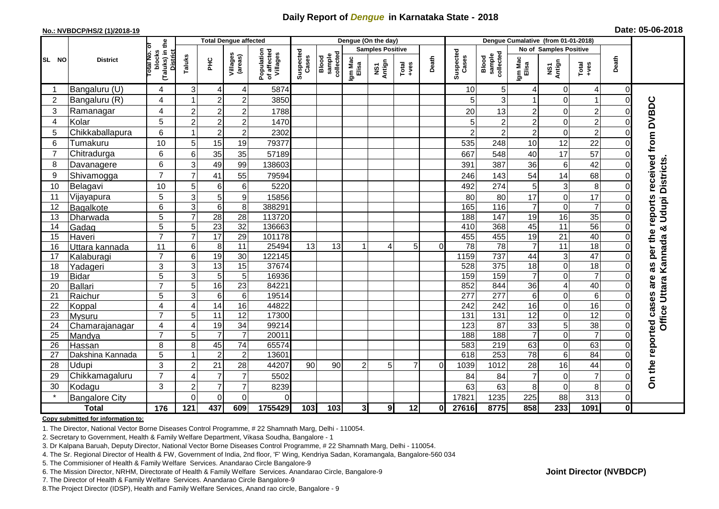## **Daily Report of** *Dengue* **in Karnataka State - 2018**

### **No.: NVBDCP/HS/2 (1)/2018-19**

|                |                          | the                                             |                                  | <b>Total Dengue affected</b> |                     |                                       |                    |                              |                  | Dengue (On the day)     |                |          |                    |                              |                  |                            |                  |               |                        |
|----------------|--------------------------|-------------------------------------------------|----------------------------------|------------------------------|---------------------|---------------------------------------|--------------------|------------------------------|------------------|-------------------------|----------------|----------|--------------------|------------------------------|------------------|----------------------------|------------------|---------------|------------------------|
|                |                          | ō                                               |                                  |                              |                     |                                       |                    |                              |                  | <b>Samples Positive</b> |                |          |                    |                              |                  | No of Samples Positive     |                  |               |                        |
| SL NO          | <b>District</b>          | (Taluks) in t<br>District<br>otal No.<br>blocks | Taluks                           | 울                            | Villages<br>(areas) | Population<br>of affected<br>Villages | Suspected<br>Cases | sample<br>collected<br>Blood | Igm Mac<br>Elisa | NS1<br>Antign           | $Totael$       | Death    | Suspected<br>Cases | sample<br>collected<br>Blood | Igm Mac<br>Elisa | NS1<br>Antign              | $Tota$<br>$+ves$ | Death         |                        |
|                | Bangaluru (U)            | 4                                               | 3                                | 4                            | 4                   | 5874                                  |                    |                              |                  |                         |                |          | 10                 | 5 <sub>5</sub>               | 4                | 0                          | 4                | $\Omega$      |                        |
| 2              | Bangaluru (R)            | 4                                               |                                  | $\overline{2}$               | $\overline{c}$      | 3850                                  |                    |                              |                  |                         |                |          |                    | 3 <sup>l</sup>               |                  | $\Omega$                   |                  | $\Omega$      |                        |
| 3              | Ramanagar                | 4                                               | $\overline{2}$                   | $\overline{2}$               | $\overline{c}$      | 1788                                  |                    |                              |                  |                         |                |          | 20                 | 13                           | $\overline{c}$   | $\mathbf 0$                | $\overline{2}$   |               | received from DVBDC    |
| 4              | Kolar                    | 5                                               | $\overline{c}$                   | $\overline{2}$               | $\overline{2}$      | 1470                                  |                    |                              |                  |                         |                |          |                    | $\overline{c}$               | $\overline{2}$   | $\boldsymbol{0}$           | $\overline{2}$   | 0             |                        |
| 5              | Chikkaballapura          | 6                                               | $\overline{1}$                   | $\overline{2}$               | $\overline{c}$      | 2302                                  |                    |                              |                  |                         |                |          |                    | $\overline{c}$               | $\overline{c}$   | $\mathbf 0$                | $\overline{2}$   | 0             |                        |
| 6              | Tumakuru                 | 10                                              | 5                                | 15                           | 19                  | 79377                                 |                    |                              |                  |                         |                |          | 535                | 248                          | 10               | 12                         | 22               | 0             |                        |
| $\overline{7}$ | Chitradurga              | 6                                               | 6                                | 35                           | 35                  | 57189                                 |                    |                              |                  |                         |                |          | 667                | 548                          | 40               | 17                         | 57               | 0             |                        |
| 8              | Davanagere               | 6                                               | 3                                | 49                           | 99                  | 138603                                |                    |                              |                  |                         |                |          | 391                | 387                          | 36               | $\,6$                      | 42               | 0             | <b>Udupi Districts</b> |
| 9              | Shivamogga               | $\overline{7}$                                  | $\overline{7}$                   | 41                           | 55                  | 79594                                 |                    |                              |                  |                         |                |          | 246                | 143                          | 54               | 14                         | 68               | $\Omega$      |                        |
| 10             | Belagavi                 | 10                                              | 5                                | 6                            | 6                   | 5220                                  |                    |                              |                  |                         |                |          | 492                | 274                          | 5                | $\mathbf{3}$               | 8                | 0             |                        |
| 11             | Vijayapura               | 5                                               | 3                                | 5                            | 9                   | 15856                                 |                    |                              |                  |                         |                |          | 80                 | 80                           | 17               | $\mathbf 0$                | 17               |               |                        |
| 12             | Bagalkote                | 6                                               | $\overline{3}$                   | $\overline{6}$               | $\overline{8}$      | 388291                                |                    |                              |                  |                         |                |          | 165                | 116                          | $\overline{7}$   | $\mathbf 0$                | $\overline{7}$   | 0             |                        |
| 13             | Dharwada                 | 5                                               | $\overline{7}$                   | 28                           | $\overline{28}$     | 113720                                |                    |                              |                  |                         |                |          | 188                | 147                          | $\overline{19}$  | 16                         | 35               | 0             | reports                |
| 14             | Gadag                    | 5                                               | 5                                | $\overline{23}$              | $\overline{32}$     | 136663                                |                    |                              |                  |                         |                |          | 410                | 368                          | 45               | $\overline{11}$            | $\overline{56}$  | $\Omega$      | ×                      |
| 15             | Haveri                   | $\overline{7}$                                  | $\overline{7}$                   | 17                           | $\overline{29}$     | 101178                                |                    |                              |                  |                         |                |          | 455                | 455                          | 19               | $\overline{21}$            | 40               | $\Omega$      |                        |
| 16             | Uttara kannada           | 11                                              | 6                                | 8                            | 11                  | 25494                                 | 13                 | 13                           | -1               | 4                       | 5              | $\Omega$ | 78                 | $\overline{78}$              | $\overline{7}$   | $\overline{11}$            | $\overline{18}$  | 0             | per the                |
| 17             | Kalaburagi               | $\overline{7}$                                  | 6                                | 19                           | 30                  | 122145                                |                    |                              |                  |                         |                |          | 1159               | 737                          | 44               | 3                          | 47               | 0             | Kannada                |
| 18             | Yadageri                 | 3                                               | 3                                | $\overline{13}$              | 15                  | 37674                                 |                    |                              |                  |                         |                |          | 528                | 375                          | $\overline{18}$  | $\mathbf 0$                | $\overline{18}$  | $\Omega$      | as                     |
| 19             | <b>Bidar</b>             | 5                                               | 3                                | 5                            | 5                   | 16936                                 |                    |                              |                  |                         |                |          | 159                | 159                          | $\overline{7}$   | $\overline{0}$             | $\overline{7}$   |               | are                    |
| 20             | Ballari                  | $\overline{7}$                                  | 5                                | 16                           | 23                  | 84221                                 |                    |                              |                  |                         |                |          | 852                | 844                          | 36               | 4                          | 40               |               |                        |
| 21<br>22       | Raichur                  | 5<br>4                                          | $\overline{3}$<br>$\overline{4}$ | 6<br>14                      | 6<br>16             | 19514                                 |                    |                              |                  |                         |                |          | 277<br>242         | $\overline{277}$             | 6                | $\mathbf 0$<br>$\mathbf 0$ | 6<br>16          | 0             |                        |
| 23             | Koppal                   | $\overline{7}$                                  | 5                                | $\overline{11}$              | 12                  | 44822<br>17300                        |                    |                              |                  |                         |                |          | 131                | 242<br>131                   | 16<br>12         | $\boldsymbol{0}$           | 12               | 0<br>$\Omega$ |                        |
| 24             | Mysuru<br>Chamarajanagar | 4                                               | $\overline{4}$                   | 19                           | $\overline{34}$     | 99214                                 |                    |                              |                  |                         |                |          | 123                | $\overline{87}$              | 33               | $\overline{5}$             | 38               | $\Omega$      | <b>Office Uttara</b>   |
| 25             | Mandya                   | $\overline{7}$                                  | 5                                | $\overline{7}$               | $\overline{7}$      | 20011                                 |                    |                              |                  |                         |                |          | 188                | 188                          | $\overline{7}$   | $\pmb{0}$                  | $\overline{7}$   | 0             |                        |
| 26             | Hassan                   | 8                                               | 8                                | 45                           | 74                  | 65574                                 |                    |                              |                  |                         |                |          | 583                | 219                          | 63               | $\boldsymbol{0}$           | 63               | 0             |                        |
| 27             | Dakshina Kannada         | 5                                               |                                  | $\overline{2}$               | $\overline{2}$      | 13601                                 |                    |                              |                  |                         |                |          | 618                | 253                          | $\overline{78}$  | $\overline{6}$             | 84               | $\Omega$      |                        |
| 28             | Udupi                    | 3                                               | $\overline{c}$                   | 21                           | 28                  | 44207                                 | 90                 | 90                           | $\overline{2}$   | 5                       | $\overline{7}$ | $\Omega$ | 1039               | 1012                         | 28               | 16                         | 44               | 0             |                        |
| 29             | Chikkamagaluru           | $\overline{7}$                                  | $\overline{4}$                   | $\overline{7}$               | $\overline{7}$      | 5502                                  |                    |                              |                  |                         |                |          | 84                 | 84                           | $\overline{7}$   | $\boldsymbol{0}$           | $\overline{7}$   | 0             | On the reported cases  |
| 30             | Kodagu                   | 3                                               | $\overline{2}$                   | $\overline{7}$               | $\overline{7}$      | 8239                                  |                    |                              |                  |                         |                |          | 63                 | 63                           | 8                | $\mathbf 0$                | 8                | $\Omega$      |                        |
|                | <b>Bangalore City</b>    |                                                 | $\Omega$                         | $\mathbf 0$                  | $\mathbf 0$         | $\Omega$                              |                    |                              |                  |                         |                |          | 17821              | 1235                         | 225              | 88                         | 313              | $\mathbf 0$   |                        |
|                | <b>Total</b>             | 176                                             | 121                              | 437                          | 609                 | 1755429                               | 103                | 103                          | 3 <sub>l</sub>   | 9 <sub>l</sub>          | 12             | 0l       | 27616              | 8775                         | 858              | 233                        | 1091             | $\mathbf{0}$  |                        |

## **Copy submitted for information to:**

1. The Director, National Vector Borne Diseases Control Programme, # 22 Shamnath Marg, Delhi - 110054.

2. Secretary to Government, Health & Family Welfare Department, Vikasa Soudha, Bangalore - 1

3. Dr Kalpana Baruah, Deputy Director, National Vector Borne Diseases Control Programme, # 22 Shamnath Marg, Delhi - 110054.

4. The Sr. Regional Director of Health & FW, Government of India, 2nd floor, 'F' Wing, Kendriya Sadan, Koramangala, Bangalore-560 034

5. The Commisioner of Health & Family Welfare Services. Anandarao Circle Bangalore-9

6. The Mission Director, NRHM, Directorate of Health & Family Welfare Services. Anandarao Circle, Bangalore-9

7. The Director of Health & Family Welfare Services. Anandarao Circle Bangalore-9

8.The Project Director (IDSP), Health and Family Welfare Services, Anand rao circle, Bangalore - 9